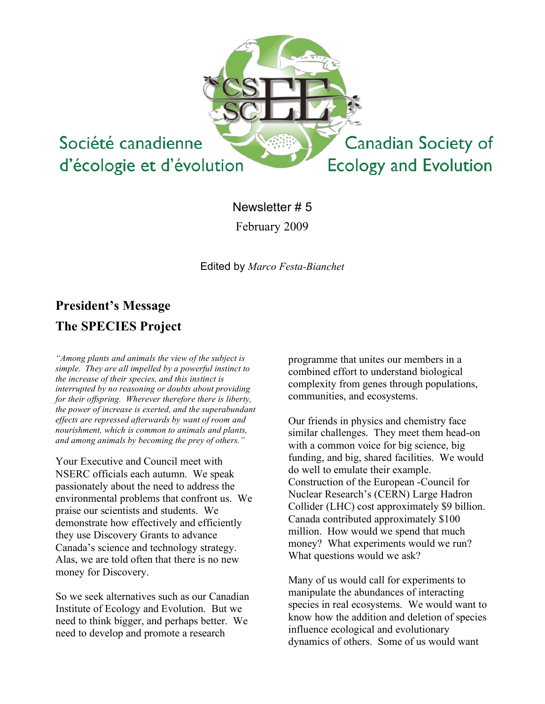

Newsletter # 5 February 2009

Edited by *Marco Festa-Bianchet*

# **President's Message The SPECIES Project**

*"Among plants and animals the view of the subject is simple. They are all impelled by a powerful instinct to the increase of their species, and this instinct is interrupted by no reasoning or doubts about providing for their offspring. Wherever therefore there is liberty, the power of increase is exerted, and the superabundant effects are repressed afterwards by want of room and nourishment, which is common to animals and plants, and among animals by becoming the prey of others."*

Your Executive and Council meet with NSERC officials each autumn. We speak passionately about the need to address the environmental problems that confront us. We praise our scientists and students. We demonstrate how effectively and efficiently they use Discovery Grants to advance Canada's science and technology strategy. Alas, we are told often that there is no new money for Discovery.

So we seek alternatives such as our Canadian Institute of Ecology and Evolution. But we need to think bigger, and perhaps better. We need to develop and promote a research

programme that unites our members in a combined effort to understand biological complexity from genes through populations, communities, and ecosystems.

Our friends in physics and chemistry face similar challenges. They meet them head-on with a common voice for big science, big funding, and big, shared facilities. We would do well to emulate their example. Construction of the European -Council for Nuclear Research's (CERN) Large Hadron Collider (LHC) cost approximately \$9 billion. Canada contributed approximately \$100 million. How would we spend that much money? What experiments would we run? What questions would we ask?

Many of us would call for experiments to manipulate the abundances of interacting species in real ecosystems. We would want to know how the addition and deletion of species influence ecological and evolutionary dynamics of others. Some of us would want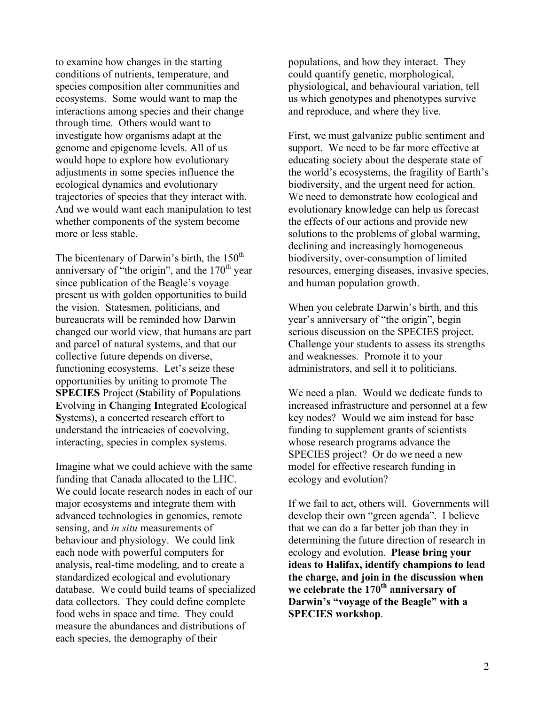to examine how changes in the starting conditions of nutrients, temperature, and species composition alter communities and ecosystems. Some would want to map the interactions among species and their change through time. Others would want to investigate how organisms adapt at the genome and epigenome levels. All of us would hope to explore how evolutionary adjustments in some species influence the ecological dynamics and evolutionary trajectories of species that they interact with. And we would want each manipulation to test whether components of the system become more or less stable.

The bicentenary of Darwin's birth, the  $150<sup>th</sup>$ anniversary of "the origin", and the  $170<sup>th</sup>$  year since publication of the Beagle's voyage present us with golden opportunities to build the vision. Statesmen, politicians, and bureaucrats will be reminded how Darwin changed our world view, that humans are part and parcel of natural systems, and that our collective future depends on diverse, functioning ecosystems. Let's seize these opportunities by uniting to promote The **SPECIES** Project (**S**tability of **P**opulations **E**volving in **C**hanging **I**ntegrated **E**cological **S**ystems), a concerted research effort to understand the intricacies of coevolving, interacting, species in complex systems.

Imagine what we could achieve with the same funding that Canada allocated to the LHC. We could locate research nodes in each of our major ecosystems and integrate them with advanced technologies in genomics, remote sensing, and *in situ* measurements of behaviour and physiology. We could link each node with powerful computers for analysis, real-time modeling, and to create a standardized ecological and evolutionary database. We could build teams of specialized data collectors. They could define complete food webs in space and time. They could measure the abundances and distributions of each species, the demography of their

populations, and how they interact. They could quantify genetic, morphological, physiological, and behavioural variation, tell us which genotypes and phenotypes survive and reproduce, and where they live.

First, we must galvanize public sentiment and support. We need to be far more effective at educating society about the desperate state of the world's ecosystems, the fragility of Earth's biodiversity, and the urgent need for action. We need to demonstrate how ecological and evolutionary knowledge can help us forecast the effects of our actions and provide new solutions to the problems of global warming, declining and increasingly homogeneous biodiversity, over-consumption of limited resources, emerging diseases, invasive species, and human population growth.

When you celebrate Darwin's birth, and this year's anniversary of "the origin", begin serious discussion on the SPECIES project. Challenge your students to assess its strengths and weaknesses. Promote it to your administrators, and sell it to politicians.

We need a plan. Would we dedicate funds to increased infrastructure and personnel at a few key nodes? Would we aim instead for base funding to supplement grants of scientists whose research programs advance the SPECIES project? Or do we need a new model for effective research funding in ecology and evolution?

If we fail to act, others will. Governments will develop their own "green agenda". I believe that we can do a far better job than they in determining the future direction of research in ecology and evolution. **Please bring your ideas to Halifax, identify champions to lead the charge, and join in the discussion when we celebrate the 170th anniversary of Darwin's "voyage of the Beagle" with a SPECIES workshop**.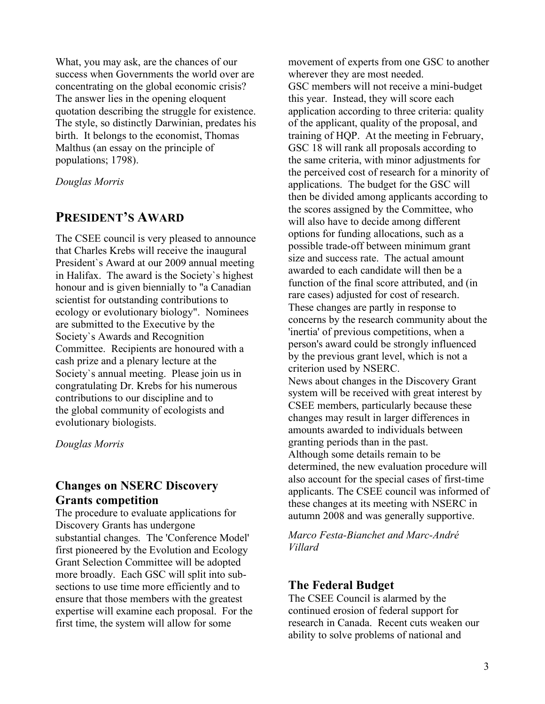What, you may ask, are the chances of our success when Governments the world over are concentrating on the global economic crisis? The answer lies in the opening eloquent quotation describing the struggle for existence. The style, so distinctly Darwinian, predates his birth. It belongs to the economist, Thomas Malthus (an essay on the principle of populations; 1798).

*Douglas Morris*

# **PRESIDENT'S AWARD**

The CSEE council is very pleased to announce that Charles Krebs will receive the inaugural President`s Award at our 2009 annual meeting in Halifax. The award is the Society`s highest honour and is given biennially to "a Canadian scientist for outstanding contributions to ecology or evolutionary biology". Nominees are submitted to the Executive by the Society`s Awards and Recognition Committee. Recipients are honoured with a cash prize and a plenary lecture at the Society`s annual meeting. Please join us in congratulating Dr. Krebs for his numerous contributions to our discipline and to the global community of ecologists and evolutionary biologists.

*Douglas Morris*

# **Changes on NSERC Discovery Grants competition**

The procedure to evaluate applications for Discovery Grants has undergone substantial changes. The 'Conference Model' first pioneered by the Evolution and Ecology Grant Selection Committee will be adopted more broadly. Each GSC will split into subsections to use time more efficiently and to ensure that those members with the greatest expertise will examine each proposal. For the first time, the system will allow for some

movement of experts from one GSC to another wherever they are most needed. GSC members will not receive a mini-budget this year. Instead, they will score each application according to three criteria: quality of the applicant, quality of the proposal, and training of HQP. At the meeting in February, GSC 18 will rank all proposals according to the same criteria, with minor adjustments for the perceived cost of research for a minority of applications. The budget for the GSC will then be divided among applicants according to the scores assigned by the Committee, who will also have to decide among different options for funding allocations, such as a possible trade-off between minimum grant size and success rate. The actual amount awarded to each candidate will then be a function of the final score attributed, and (in rare cases) adjusted for cost of research. These changes are partly in response to concerns by the research community about the 'inertia' of previous competitions, when a person's award could be strongly influenced by the previous grant level, which is not a criterion used by NSERC. News about changes in the Discovery Grant system will be received with great interest by CSEE members, particularly because these changes may result in larger differences in amounts awarded to individuals between granting periods than in the past. Although some details remain to be determined, the new evaluation procedure will also account for the special cases of first-time applicants. The CSEE council was informed of these changes at its meeting with NSERC in autumn 2008 and was generally supportive.

*Marco Festa-Bianchet and Marc-André Villard*

#### **The Federal Budget**

The CSEE Council is alarmed by the continued erosion of federal support for research in Canada. Recent cuts weaken our ability to solve problems of national and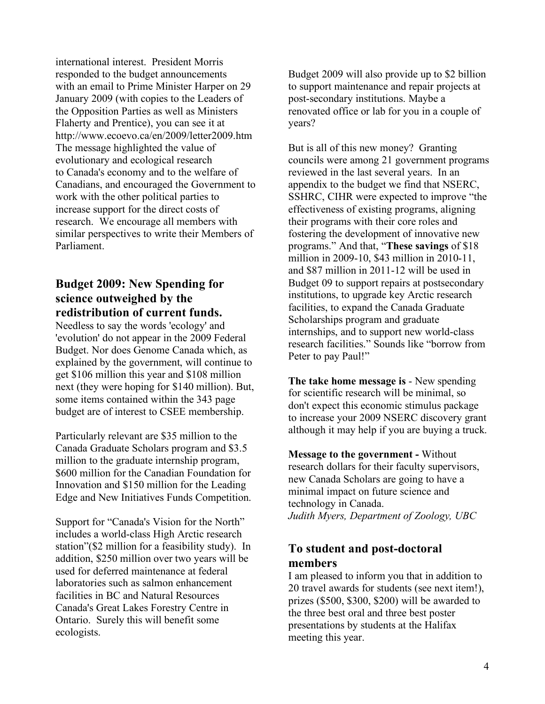international interest. President Morris responded to the budget announcements with an email to Prime Minister Harper on 29 January 2009 (with copies to the Leaders of the Opposition Parties as well as Ministers Flaherty and Prentice), you can see it at http://www.ecoevo.ca/en/2009/letter2009.htm The message highlighted the value of evolutionary and ecological research to Canada's economy and to the welfare of Canadians, and encouraged the Government to work with the other political parties to increase support for the direct costs of research. We encourage all members with similar perspectives to write their Members of Parliament.

## **Budget 2009: New Spending for science outweighed by the redistribution of current funds.**

Needless to say the words 'ecology' and 'evolution' do not appear in the 2009 Federal Budget. Nor does Genome Canada which, as explained by the government, will continue to get \$106 million this year and \$108 million next (they were hoping for \$140 million). But, some items contained within the 343 page budget are of interest to CSEE membership.

Particularly relevant are \$35 million to the Canada Graduate Scholars program and \$3.5 million to the graduate internship program, \$600 million for the Canadian Foundation for Innovation and \$150 million for the Leading Edge and New Initiatives Funds Competition.

Support for "Canada's Vision for the North" includes a world-class High Arctic research station"(\$2 million for a feasibility study). In addition, \$250 million over two years will be used for deferred maintenance at federal laboratories such as salmon enhancement facilities in BC and Natural Resources Canada's Great Lakes Forestry Centre in Ontario. Surely this will benefit some ecologists.

Budget 2009 will also provide up to \$2 billion to support maintenance and repair projects at post-secondary institutions. Maybe a renovated office or lab for you in a couple of years?

But is all of this new money? Granting councils were among 21 government programs reviewed in the last several years. In an appendix to the budget we find that NSERC, SSHRC, CIHR were expected to improve "the effectiveness of existing programs, aligning their programs with their core roles and fostering the development of innovative new programs." And that, "**These savings** of \$18 million in 2009-10, \$43 million in 2010-11, and \$87 million in 2011-12 will be used in Budget 09 to support repairs at postsecondary institutions, to upgrade key Arctic research facilities, to expand the Canada Graduate Scholarships program and graduate internships, and to support new world-class research facilities." Sounds like "borrow from Peter to pay Paul!"

**The take home message is** - New spending for scientific research will be minimal, so don't expect this economic stimulus package to increase your 2009 NSERC discovery grant although it may help if you are buying a truck.

**Message to the government -** Without research dollars for their faculty supervisors, new Canada Scholars are going to have a minimal impact on future science and technology in Canada. *Judith Myers, Department of Zoology, UBC*

# **To student and post-doctoral members**

I am pleased to inform you that in addition to 20 travel awards for students (see next item!), prizes (\$500, \$300, \$200) will be awarded to the three best oral and three best poster presentations by students at the Halifax meeting this year.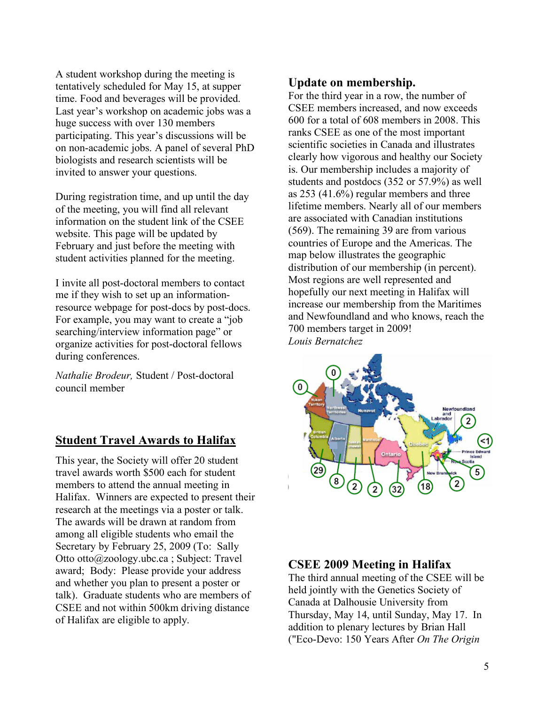A student workshop during the meeting is tentatively scheduled for May 15, at supper time. Food and beverages will be provided. Last year's workshop on academic jobs was a huge success with over 130 members participating. This year's discussions will be on non-academic jobs. A panel of several PhD biologists and research scientists will be invited to answer your questions.

During registration time, and up until the day of the meeting, you will find all relevant information on the student link of the CSEE website. This page will be updated by February and just before the meeting with student activities planned for the meeting.

I invite all post-doctoral members to contact me if they wish to set up an informationresource webpage for post-docs by post-docs. For example, you may want to create a "job searching/interview information page" or organize activities for post-doctoral fellows during conferences.

*Nathalie Brodeur,* Student / Post-doctoral council member

#### **Student Travel Awards to Halifax**

This year, the Society will offer 20 student travel awards worth \$500 each for student members to attend the annual meeting in Halifax. Winners are expected to present their research at the meetings via a poster or talk. The awards will be drawn at random from among all eligible students who email the Secretary by February 25, 2009 (To: Sally Otto otto@zoology.ubc.ca ; Subject: Travel award; Body: Please provide your address and whether you plan to present a poster or talk). Graduate students who are members of CSEE and not within 500km driving distance of Halifax are eligible to apply.

#### **Update on membership.**

For the third year in a row, the number of CSEE members increased, and now exceeds 600 for a total of 608 members in 2008. This ranks CSEE as one of the most important scientific societies in Canada and illustrates clearly how vigorous and healthy our Society is. Our membership includes a majority of students and postdocs (352 or 57.9%) as well as 253 (41.6%) regular members and three lifetime members. Nearly all of our members are associated with Canadian institutions (569). The remaining 39 are from various countries of Europe and the Americas. The map below illustrates the geographic distribution of our membership (in percent). Most regions are well represented and hopefully our next meeting in Halifax will increase our membership from the Maritimes and Newfoundland and who knows, reach the 700 members target in 2009! *Louis Bernatchez*



#### **CSEE 2009 Meeting in Halifax**

The third annual meeting of the CSEE will be held jointly with the Genetics Society of Canada at Dalhousie University from Thursday, May 14, until Sunday, May 17. In addition to plenary lectures by Brian Hall ("Eco-Devo: 150 Years After *On The Origin*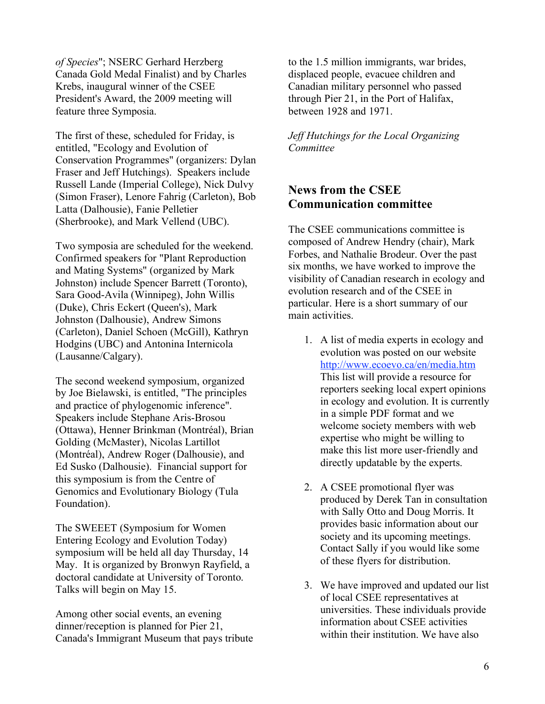*of Species*"; NSERC Gerhard Herzberg Canada Gold Medal Finalist) and by Charles Krebs, inaugural winner of the CSEE President's Award, the 2009 meeting will feature three Symposia.

The first of these, scheduled for Friday, is entitled, "Ecology and Evolution of Conservation Programmes" (organizers: Dylan Fraser and Jeff Hutchings). Speakers include Russell Lande (Imperial College), Nick Dulvy (Simon Fraser), Lenore Fahrig (Carleton), Bob Latta (Dalhousie), Fanie Pelletier (Sherbrooke), and Mark Vellend (UBC).

Two symposia are scheduled for the weekend. Confirmed speakers for "Plant Reproduction and Mating Systems" (organized by Mark Johnston) include Spencer Barrett (Toronto), Sara Good-Avila (Winnipeg), John Willis (Duke), Chris Eckert (Queen's), Mark Johnston (Dalhousie), Andrew Simons (Carleton), Daniel Schoen (McGill), Kathryn Hodgins (UBC) and Antonina Internicola (Lausanne/Calgary).

The second weekend symposium, organized by Joe Bielawski, is entitled, "The principles and practice of phylogenomic inference". Speakers include Stephane Aris-Brosou (Ottawa), Henner Brinkman (Montréal), Brian Golding (McMaster), Nicolas Lartillot (Montréal), Andrew Roger (Dalhousie), and Ed Susko (Dalhousie). Financial support for this symposium is from the Centre of Genomics and Evolutionary Biology (Tula Foundation).

The SWEEET (Symposium for Women Entering Ecology and Evolution Today) symposium will be held all day Thursday, 14 May. It is organized by Bronwyn Rayfield, a doctoral candidate at University of Toronto. Talks will begin on May 15.

Among other social events, an evening dinner/reception is planned for Pier 21, Canada's Immigrant Museum that pays tribute to the 1.5 million immigrants, war brides, displaced people, evacuee children and Canadian military personnel who passed through Pier 21, in the Port of Halifax, between 1928 and 1971.

#### *Jeff Hutchings for the Local Organizing Committee*

# **News from the CSEE Communication committee**

The CSEE communications committee is composed of Andrew Hendry (chair), Mark Forbes, and Nathalie Brodeur. Over the past six months, we have worked to improve the visibility of Canadian research in ecology and evolution research and of the CSEE in particular. Here is a short summary of our main activities.

- 1. A list of media experts in ecology and evolution was posted on our website http://www.ecoevo.ca/en/media.htm This list will provide a resource for reporters seeking local expert opinions in ecology and evolution. It is currently in a simple PDF format and we welcome society members with web expertise who might be willing to make this list more user-friendly and directly updatable by the experts.
- 2. A CSEE promotional flyer was produced by Derek Tan in consultation with Sally Otto and Doug Morris. It provides basic information about our society and its upcoming meetings. Contact Sally if you would like some of these flyers for distribution.
- 3. We have improved and updated our list of local CSEE representatives at universities. These individuals provide information about CSEE activities within their institution. We have also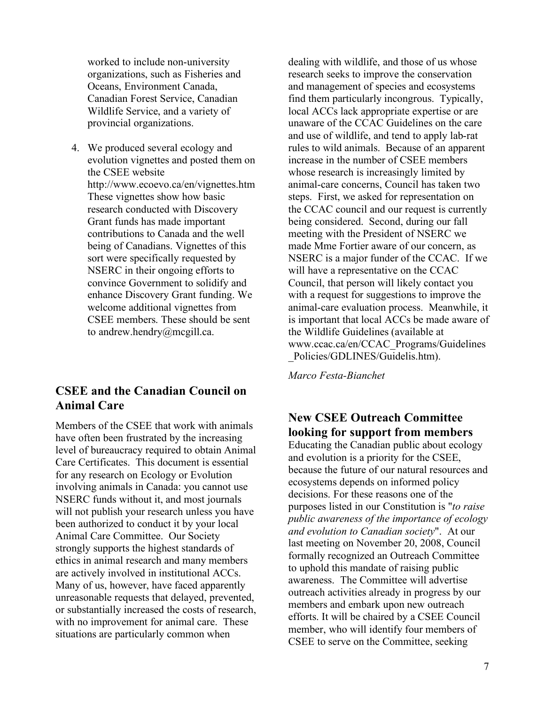worked to include non-university organizations, such as Fisheries and Oceans, Environment Canada, Canadian Forest Service, Canadian Wildlife Service, and a variety of provincial organizations.

4. We produced several ecology and evolution vignettes and posted them on the CSEE website http://www.ecoevo.ca/en/vignettes.htm These vignettes show how basic research conducted with Discovery Grant funds has made important contributions to Canada and the well being of Canadians. Vignettes of this sort were specifically requested by NSERC in their ongoing efforts to convince Government to solidify and enhance Discovery Grant funding. We welcome additional vignettes from CSEE members. These should be sent to andrew.hendry@mcgill.ca.

## **CSEE and the Canadian Council on Animal Care**

Members of the CSEE that work with animals have often been frustrated by the increasing level of bureaucracy required to obtain Animal Care Certificates. This document is essential for any research on Ecology or Evolution involving animals in Canada: you cannot use NSERC funds without it, and most journals will not publish your research unless you have been authorized to conduct it by your local Animal Care Committee. Our Society strongly supports the highest standards of ethics in animal research and many members are actively involved in institutional ACCs. Many of us, however, have faced apparently unreasonable requests that delayed, prevented, or substantially increased the costs of research, with no improvement for animal care. These situations are particularly common when

dealing with wildlife, and those of us whose research seeks to improve the conservation and management of species and ecosystems find them particularly incongrous. Typically, local ACCs lack appropriate expertise or are unaware of the CCAC Guidelines on the care and use of wildlife, and tend to apply lab-rat rules to wild animals. Because of an apparent increase in the number of CSEE members whose research is increasingly limited by animal-care concerns, Council has taken two steps. First, we asked for representation on the CCAC council and our request is currently being considered. Second, during our fall meeting with the President of NSERC we made Mme Fortier aware of our concern, as NSERC is a major funder of the CCAC. If we will have a representative on the CCAC Council, that person will likely contact you with a request for suggestions to improve the animal-care evaluation process. Meanwhile, it is important that local ACCs be made aware of the Wildlife Guidelines (available at www.ccac.ca/en/CCAC\_Programs/Guidelines \_Policies/GDLINES/Guidelis.htm).

*Marco Festa-Bianchet*

# **New CSEE Outreach Committee looking for support from members**

Educating the Canadian public about ecology and evolution is a priority for the CSEE, because the future of our natural resources and ecosystems depends on informed policy decisions. For these reasons one of the purposes listed in our Constitution is "*to raise public awareness of the importance of ecology and evolution to Canadian society*". At our last meeting on November 20, 2008, Council formally recognized an Outreach Committee to uphold this mandate of raising public awareness. The Committee will advertise outreach activities already in progress by our members and embark upon new outreach efforts. It will be chaired by a CSEE Council member, who will identify four members of CSEE to serve on the Committee, seeking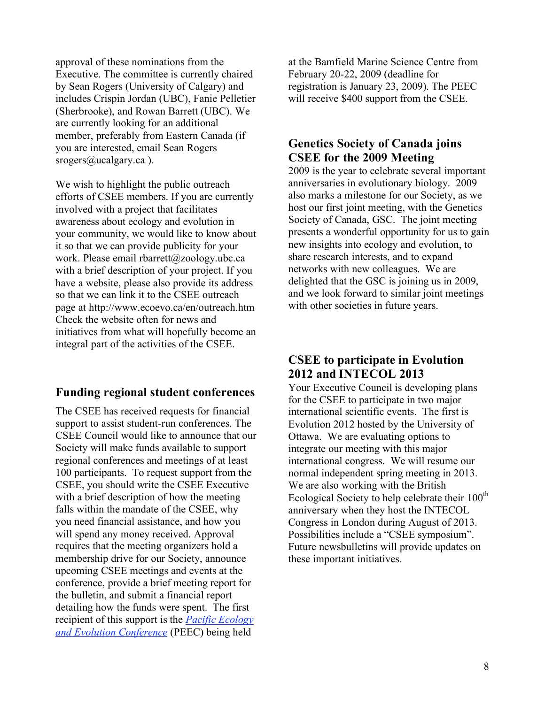approval of these nominations from the Executive. The committee is currently chaired by Sean Rogers (University of Calgary) and includes Crispin Jordan (UBC), Fanie Pelletier (Sherbrooke), and Rowan Barrett (UBC). We are currently looking for an additional member, preferably from Eastern Canada (if you are interested, email Sean Rogers srogers@ucalgary.ca).

We wish to highlight the public outreach efforts of CSEE members. If you are currently involved with a project that facilitates awareness about ecology and evolution in your community, we would like to know about it so that we can provide publicity for your work. Please email rbarrett@zoology.ubc.ca with a brief description of your project. If you have a website, please also provide its address so that we can link it to the CSEE outreach page at http://www.ecoevo.ca/en/outreach.htm Check the website often for news and initiatives from what will hopefully become an integral part of the activities of the CSEE.

# **Funding regional student conferences**

The CSEE has received requests for financial support to assist student-run conferences. The CSEE Council would like to announce that our Society will make funds available to support regional conferences and meetings of at least 100 participants. To request support from the CSEE, you should write the CSEE Executive with a brief description of how the meeting falls within the mandate of the CSEE, why you need financial assistance, and how you will spend any money received. Approval requires that the meeting organizers hold a membership drive for our Society, announce upcoming CSEE meetings and events at the conference, provide a brief meeting report for the bulletin, and submit a financial report detailing how the funds were spent. The first recipient of this support is the *Pacific Ecology and Evolution Conference* (PEEC) being held

at the Bamfield Marine Science Centre from February 20-22, 2009 (deadline for registration is January 23, 2009). The PEEC will receive \$400 support from the CSEE.

## **Genetics Society of Canada joins CSEE for the 2009 Meeting**

2009 is the year to celebrate several important anniversaries in evolutionary biology. 2009 also marks a milestone for our Society, as we host our first joint meeting, with the Genetics Society of Canada, GSC. The joint meeting presents a wonderful opportunity for us to gain new insights into ecology and evolution, to share research interests, and to expand networks with new colleagues. We are delighted that the GSC is joining us in 2009, and we look forward to similar joint meetings with other societies in future years.

# **CSEE to participate in Evolution 2012 and INTECOL 2013**

Your Executive Council is developing plans for the CSEE to participate in two major international scientific events. The first is Evolution 2012 hosted by the University of Ottawa. We are evaluating options to integrate our meeting with this major international congress. We will resume our normal independent spring meeting in 2013. We are also working with the British Ecological Society to help celebrate their  $100<sup>th</sup>$ anniversary when they host the INTECOL Congress in London during August of 2013. Possibilities include a "CSEE symposium". Future newsbulletins will provide updates on these important initiatives.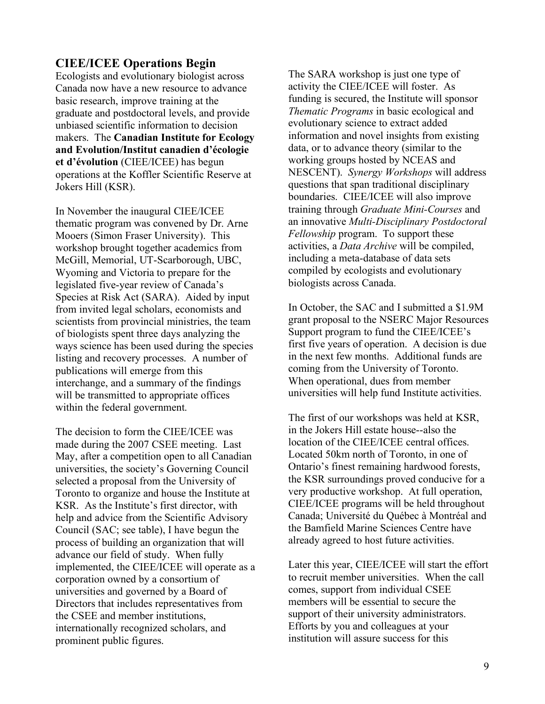# **CIEE/ICEE Operations Begin**

Ecologists and evolutionary biologist across Canada now have a new resource to advance basic research, improve training at the graduate and postdoctoral levels, and provide unbiased scientific information to decision makers. The **Canadian Institute for Ecology and Evolution/Institut canadien d'écologie et d'évolution** (CIEE/ICEE) has begun operations at the Koffler Scientific Reserve at Jokers Hill (KSR).

In November the inaugural CIEE/ICEE thematic program was convened by Dr. Arne Mooers (Simon Fraser University). This workshop brought together academics from McGill, Memorial, UT-Scarborough, UBC, Wyoming and Victoria to prepare for the legislated five-year review of Canada's Species at Risk Act (SARA). Aided by input from invited legal scholars, economists and scientists from provincial ministries, the team of biologists spent three days analyzing the ways science has been used during the species listing and recovery processes. A number of publications will emerge from this interchange, and a summary of the findings will be transmitted to appropriate offices within the federal government.

The decision to form the CIEE/ICEE was made during the 2007 CSEE meeting. Last May, after a competition open to all Canadian universities, the society's Governing Council selected a proposal from the University of Toronto to organize and house the Institute at KSR. As the Institute's first director, with help and advice from the Scientific Advisory Council (SAC; see table), I have begun the process of building an organization that will advance our field of study. When fully implemented, the CIEE/ICEE will operate as a corporation owned by a consortium of universities and governed by a Board of Directors that includes representatives from the CSEE and member institutions, internationally recognized scholars, and prominent public figures.

The SARA workshop is just one type of activity the CIEE/ICEE will foster. As funding is secured, the Institute will sponsor *Thematic Programs* in basic ecological and evolutionary science to extract added information and novel insights from existing data, or to advance theory (similar to the working groups hosted by NCEAS and NESCENT). *Synergy Workshops* will address questions that span traditional disciplinary boundaries. CIEE/ICEE will also improve training through *Graduate Mini-Courses* and an innovative *Multi-Disciplinary Postdoctoral Fellowship* program. To support these activities, a *Data Archive* will be compiled, including a meta-database of data sets compiled by ecologists and evolutionary biologists across Canada.

In October, the SAC and I submitted a \$1.9M grant proposal to the NSERC Major Resources Support program to fund the CIEE/ICEE's first five years of operation. A decision is due in the next few months. Additional funds are coming from the University of Toronto. When operational, dues from member universities will help fund Institute activities.

The first of our workshops was held at KSR, in the Jokers Hill estate house--also the location of the CIEE/ICEE central offices. Located 50km north of Toronto, in one of Ontario's finest remaining hardwood forests, the KSR surroundings proved conducive for a very productive workshop. At full operation, CIEE/ICEE programs will be held throughout Canada; Université du Québec à Montréal and the Bamfield Marine Sciences Centre have already agreed to host future activities.

Later this year, CIEE/ICEE will start the effort to recruit member universities. When the call comes, support from individual CSEE members will be essential to secure the support of their university administrators. Efforts by you and colleagues at your institution will assure success for this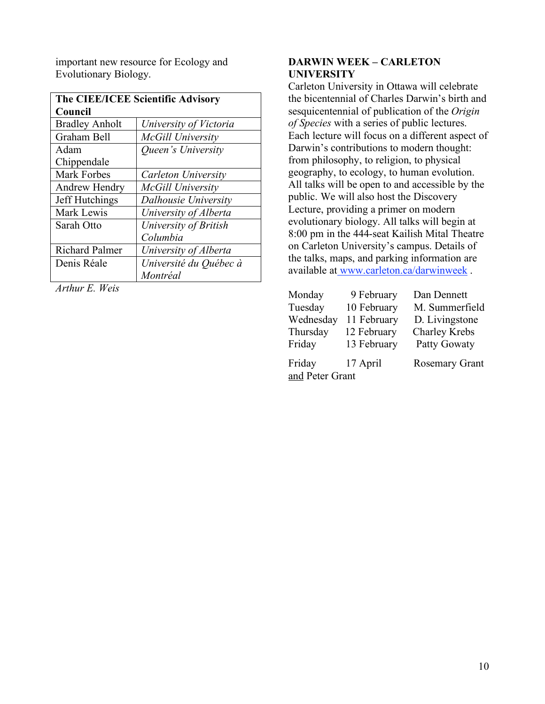important new resource for Ecology and Evolutionary Biology.

| The CIEE/ICEE Scientific Advisory |                        |  |
|-----------------------------------|------------------------|--|
| Council                           |                        |  |
| <b>Bradley Anholt</b>             | University of Victoria |  |
| Graham Bell                       | McGill University      |  |
| Adam                              | Queen's University     |  |
| Chippendale                       |                        |  |
| Mark Forbes                       | Carleton University    |  |
| Andrew Hendry                     | McGill University      |  |
| Jeff Hutchings                    | Dalhousie University   |  |
| Mark Lewis                        | University of Alberta  |  |
| Sarah Otto                        | University of British  |  |
|                                   | Columbia               |  |
| <b>Richard Palmer</b>             | University of Alberta  |  |
| Denis Réale                       | Université du Québec à |  |
|                                   | Montréal               |  |

*Arthur E. Weis*

#### **DARWIN WEEK – CARLETON UNIVERSITY**

Carleton University in Ottawa will celebrate the bicentennial of Charles Darwin's birth and sesquicentennial of publication of the *Origin of Species* with a series of public lectures. Each lecture will focus on a different aspect of Darwin's contributions to modern thought: from philosophy, to religion, to physical geography, to ecology, to human evolution. All talks will be open to and accessible by the public. We will also host the Discovery Lecture, providing a primer on modern evolutionary biology. All talks will begin at 8:00 pm in the 444-seat Kailish Mital Theatre on Carleton University's campus. Details of the talks, maps, and parking information are available at www.carleton.ca/darwinweek.

| Monday<br>Tuesday         | 9 February<br>10 February | Dan Dennett<br>M. Summerfield |
|---------------------------|---------------------------|-------------------------------|
| Wednesday                 | 11 February               | D. Livingstone                |
| Thursday                  | 12 February               | <b>Charley Krebs</b>          |
| Friday                    | 13 February               | Patty Gowaty                  |
| Friday<br>and Peter Grant | 17 April                  | <b>Rosemary Grant</b>         |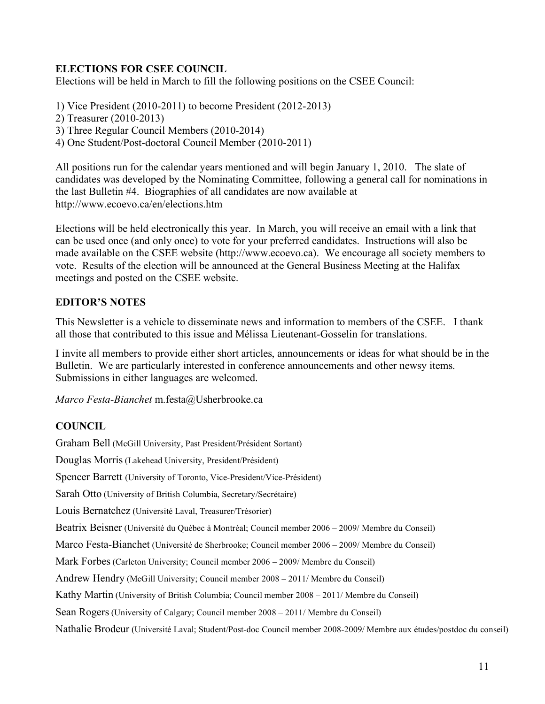#### **ELECTIONS FOR CSEE COUNCIL**

Elections will be held in March to fill the following positions on the CSEE Council:

1) Vice President (2010-2011) to become President (2012-2013)

2) Treasurer (2010-2013)

3) Three Regular Council Members (2010-2014)

4) One Student/Post-doctoral Council Member (2010-2011)

All positions run for the calendar years mentioned and will begin January 1, 2010. The slate of candidates was developed by the Nominating Committee, following a general call for nominations in the last Bulletin #4. Biographies of all candidates are now available at http://www.ecoevo.ca/en/elections.htm

Elections will be held electronically this year. In March, you will receive an email with a link that can be used once (and only once) to vote for your preferred candidates. Instructions will also be made available on the CSEE website (http://www.ecoevo.ca). We encourage all society members to vote. Results of the election will be announced at the General Business Meeting at the Halifax meetings and posted on the CSEE website.

#### **EDITOR'S NOTES**

This Newsletter is a vehicle to disseminate news and information to members of the CSEE. I thank all those that contributed to this issue and Mélissa Lieutenant-Gosselin for translations.

I invite all members to provide either short articles, announcements or ideas for what should be in the Bulletin. We are particularly interested in conference announcements and other newsy items. Submissions in either languages are welcomed.

*Marco Festa-Bianchet* m.festa@Usherbrooke.ca

#### **COUNCIL**

Graham Bell (McGill University, Past President/Président Sortant)

Douglas Morris(Lakehead University, President/Président)

Spencer Barrett (University of Toronto, Vice-President/Vice-Président)

Sarah Otto (University of British Columbia, Secretary/Secrétaire)

Louis Bernatchez (Université Laval, Treasurer/Trésorier)

Beatrix Beisner (Université du Québec à Montréal; Council member 2006 – 2009/ Membre du Conseil)

Marco Festa-Bianchet (Université de Sherbrooke; Council member 2006 – 2009/ Membre du Conseil)

Mark Forbes (Carleton University; Council member 2006 – 2009/ Membre du Conseil)

Andrew Hendry (McGill University; Council member 2008 – 2011/ Membre du Conseil)

Kathy Martin (University of British Columbia; Council member 2008 – 2011/ Membre du Conseil)

Sean Rogers(University of Calgary; Council member 2008 – 2011/ Membre du Conseil)

Nathalie Brodeur (Université Laval; Student/Post-doc Council member 2008-2009/ Membre aux études/postdoc du conseil)